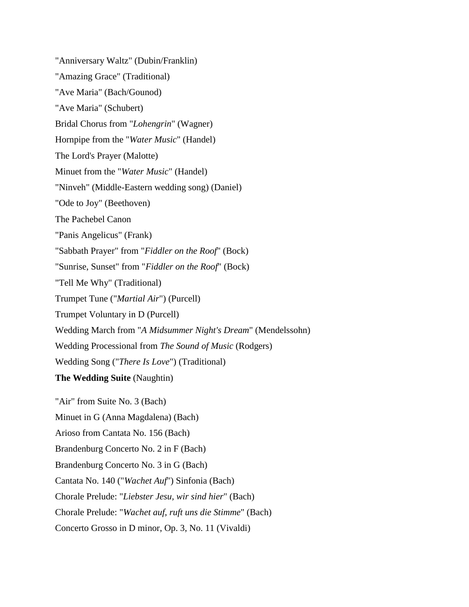"Anniversary Waltz" (Dubin/Franklin) "Amazing Grace" (Traditional) "Ave Maria" (Bach/Gounod) "Ave Maria" (Schubert) Bridal Chorus from "*Lohengrin*" (Wagner) Hornpipe from the "*Water Music*" (Handel) The Lord's Prayer (Malotte) Minuet from the "*Water Music*" (Handel) "Ninveh" (Middle-Eastern wedding song) (Daniel) "Ode to Joy" (Beethoven) The Pachebel Canon "Panis Angelicus" (Frank) "Sabbath Prayer" from "*Fiddler on the Roof*" (Bock) "Sunrise, Sunset" from "*Fiddler on the Roof*" (Bock) "Tell Me Why" (Traditional) Trumpet Tune ("*Martial Air*") (Purcell) Trumpet Voluntary in D (Purcell) Wedding March from "*A Midsummer Night's Dream*" (Mendelssohn) Wedding Processional from *The Sound of Music* (Rodgers) Wedding Song ("*There Is Love*") (Traditional) **The Wedding Suite** (Naughtin) "Air" from Suite No. 3 (Bach) Minuet in G (Anna Magdalena) (Bach) Arioso from Cantata No. 156 (Bach) Brandenburg Concerto No. 2 in F (Bach) Brandenburg Concerto No. 3 in G (Bach) Cantata No. 140 ("*Wachet Auf*") Sinfonia (Bach) Chorale Prelude: "*Liebster Jesu, wir sind hier*" (Bach) Chorale Prelude: "*Wachet auf, ruft uns die Stimme*" (Bach) Concerto Grosso in D minor, Op. 3, No. 11 (Vivaldi)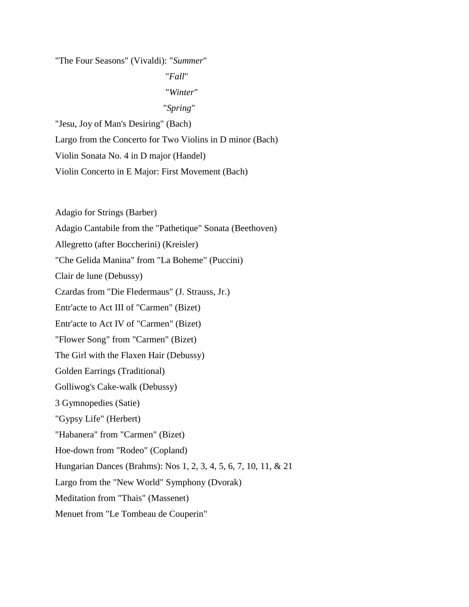"The Four Seasons" (Vivaldi): "*Summer*"

"*Fall*"

"*Winter*"

## "*Spring*"

"Jesu, Joy of Man's Desiring" (Bach) Largo from the Concerto for Two Violins in D minor (Bach) Violin Sonata No. 4 in D major (Handel) Violin Concerto in E Major: First Movement (Bach)

Adagio for Strings (Barber)

Adagio Cantabile from the "Pathetique" Sonata (Beethoven)

Allegretto (after Boccherini) (Kreisler)

"Che Gelida Manina" from "La Boheme" (Puccini)

Clair de lune (Debussy)

Czardas from "Die Fledermaus" (J. Strauss, Jr.)

Entr'acte to Act III of "Carmen" (Bizet)

Entr'acte to Act IV of "Carmen" (Bizet)

"Flower Song" from "Carmen" (Bizet)

The Girl with the Flaxen Hair (Debussy)

Golden Earrings (Traditional)

Golliwog's Cake-walk (Debussy)

3 Gymnopedies (Satie)

"Gypsy Life" (Herbert)

"Habanera" from "Carmen" (Bizet)

Hoe-down from "Rodeo" (Copland)

Hungarian Dances (Brahms): Nos 1, 2, 3, 4, 5, 6, 7, 10, 11, & 21

Largo from the "New World" Symphony (Dvorak)

Meditation from "Thais" (Massenet)

Menuet from "Le Tombeau de Couperin"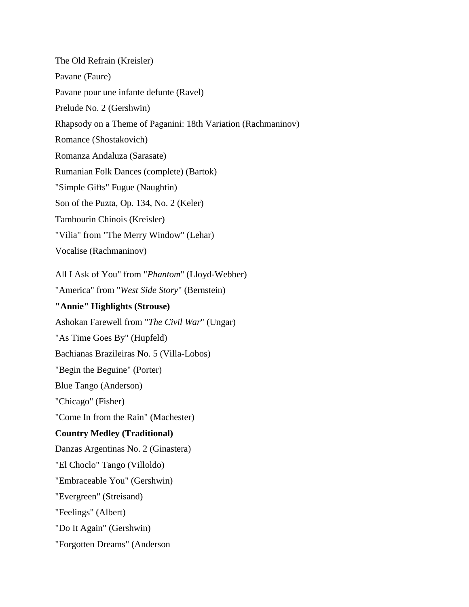The Old Refrain (Kreisler) Pavane (Faure) Pavane pour une infante defunte (Ravel) Prelude No. 2 (Gershwin) Rhapsody on a Theme of Paganini: 18th Variation (Rachmaninov) Romance (Shostakovich) Romanza Andaluza (Sarasate) Rumanian Folk Dances (complete) (Bartok) "Simple Gifts" Fugue (Naughtin) Son of the Puzta, Op. 134, No. 2 (Keler) Tambourin Chinois (Kreisler) "Vilia" from "The Merry Window" (Lehar) Vocalise (Rachmaninov) All I Ask of You" from "*Phantom*" (Lloyd-Webber) "America" from "*West Side Story*" (Bernstein) **"Annie" Highlights (Strouse)** Ashokan Farewell from "*The Civil War*" (Ungar) "As Time Goes By" (Hupfeld) Bachianas Brazileiras No. 5 (Villa-Lobos) "Begin the Beguine" (Porter) Blue Tango (Anderson) "Chicago" (Fisher) "Come In from the Rain" (Machester) **Country Medley (Traditional)** Danzas Argentinas No. 2 (Ginastera) "El Choclo" Tango (Villoldo) "Embraceable You" (Gershwin) "Evergreen" (Streisand) "Feelings" (Albert) "Do It Again" (Gershwin) "Forgotten Dreams" (Anderson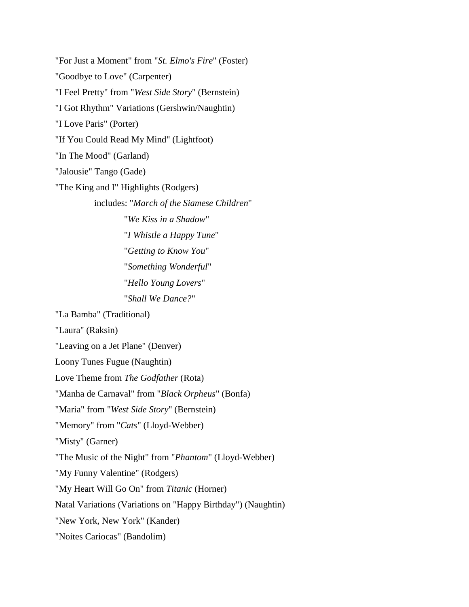"For Just a Moment" from "*St. Elmo's Fire*" (Foster) "Goodbye to Love" (Carpenter) "I Feel Pretty" from "*West Side Story*" (Bernstein) "I Got Rhythm" Variations (Gershwin/Naughtin) "I Love Paris" (Porter) "If You Could Read My Mind" (Lightfoot) "In The Mood" (Garland) "Jalousie" Tango (Gade) "The King and I" Highlights (Rodgers) includes: "*March of the Siamese Children*" "*We Kiss in a Shadow*" "*I Whistle a Happy Tune*" "*Getting to Know You*" "*Something Wonderful*" "*Hello Young Lovers*" "*Shall We Dance?*" "La Bamba" (Traditional) "Laura" (Raksin) "Leaving on a Jet Plane" (Denver) Loony Tunes Fugue (Naughtin) Love Theme from *The Godfather* (Rota) "Manha de Carnaval" from "*Black Orpheus*" (Bonfa) "Maria" from "*West Side Story*" (Bernstein) "Memory" from "*Cats*" (Lloyd-Webber) "Misty" (Garner) "The Music of the Night" from "*Phantom*" (Lloyd-Webber) "My Funny Valentine" (Rodgers) "My Heart Will Go On" from *Titanic* (Horner) Natal Variations (Variations on "Happy Birthday") (Naughtin) "New York, New York" (Kander) "Noites Cariocas" (Bandolim)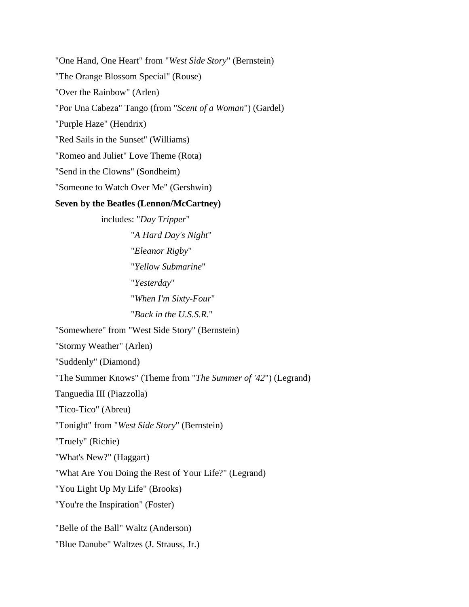"One Hand, One Heart" from "*West Side Story*" (Bernstein) "The Orange Blossom Special" (Rouse) "Over the Rainbow" (Arlen) "Por Una Cabeza" Tango (from "*Scent of a Woman*") (Gardel) "Purple Haze" (Hendrix) "Red Sails in the Sunset" (Williams) "Romeo and Juliet" Love Theme (Rota) "Send in the Clowns" (Sondheim) "Someone to Watch Over Me" (Gershwin)

## **Seven by the Beatles (Lennon/McCartney)**

 includes: "*Day Tripper*" "*A Hard Day's Night*" "*Eleanor Rigby*" "*Yellow Submarine*" "*Yesterday*" "*When I'm Sixty-Four*" "*Back in the U.S.S.R.*"

"Somewhere" from "West Side Story" (Bernstein)

"Stormy Weather" (Arlen)

"Suddenly" (Diamond)

"The Summer Knows" (Theme from "*The Summer of '42*") (Legrand)

Tanguedia III (Piazzolla)

"Tico-Tico" (Abreu)

"Tonight" from "*West Side Story*" (Bernstein)

"Truely" (Richie)

"What's New?" (Haggart)

"What Are You Doing the Rest of Your Life?" (Legrand)

"You Light Up My Life" (Brooks)

"You're the Inspiration" (Foster)

"Belle of the Ball" Waltz (Anderson)

"Blue Danube" Waltzes (J. Strauss, Jr.)